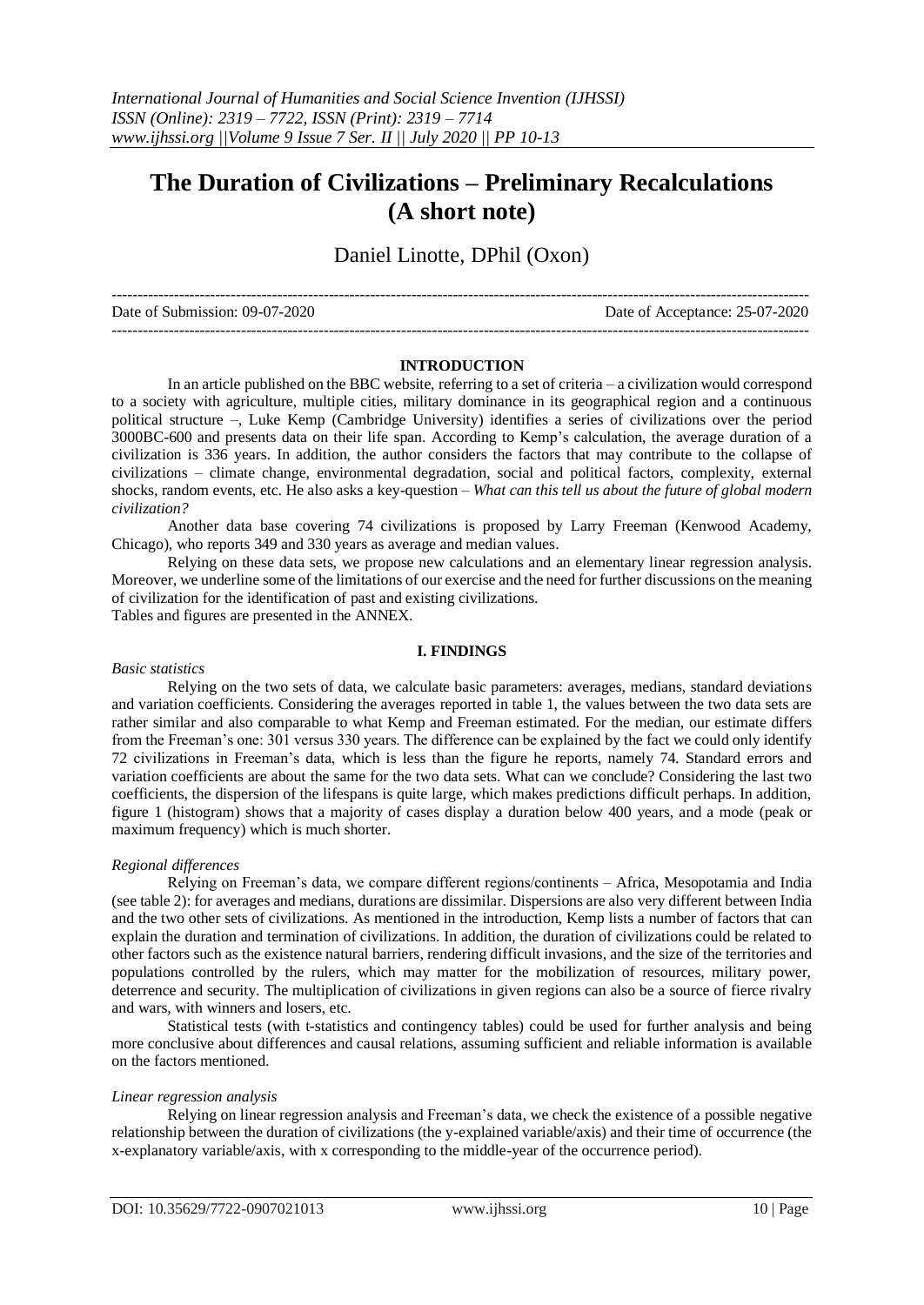# **The Duration of Civilizations – Preliminary Recalculations (A short note)**

# Daniel Linotte, DPhil (Oxon)

| Date of Submission: 09-07-2020 | Date of Acceptance: 25-07-2020 |
|--------------------------------|--------------------------------|
|                                |                                |

#### **INTRODUCTION**

In an article published on the BBC website, referring to a set of criteria – a civilization would correspond to a society with agriculture, multiple cities, military dominance in its geographical region and a continuous political structure –, Luke Kemp (Cambridge University) identifies a series of civilizations over the period 3000BC-600 and presents data on their life span. According to Kemp's calculation, the average duration of a civilization is 336 years. In addition, the author considers the factors that may contribute to the collapse of civilizations – climate change, environmental degradation, social and political factors, complexity, external shocks, random events, etc. He also asks a key-question – *What can this tell us about the future of global modern civilization?*

Another data base covering 74 civilizations is proposed by Larry Freeman (Kenwood Academy, Chicago), who reports 349 and 330 years as average and median values.

Relying on these data sets, we propose new calculations and an elementary linear regression analysis. Moreover, we underline some of the limitations of our exercise and the need for further discussions on the meaning of civilization for the identification of past and existing civilizations. Tables and figures are presented in the ANNEX.

#### **I. FINDINGS**

#### *Basic statistics*

Relying on the two sets of data, we calculate basic parameters: averages, medians, standard deviations and variation coefficients. Considering the averages reported in table 1, the values between the two data sets are rather similar and also comparable to what Kemp and Freeman estimated. For the median, our estimate differs from the Freeman's one: 301 versus 330 years. The difference can be explained by the fact we could only identify 72 civilizations in Freeman's data, which is less than the figure he reports, namely 74. Standard errors and variation coefficients are about the same for the two data sets. What can we conclude? Considering the last two coefficients, the dispersion of the lifespans is quite large, which makes predictions difficult perhaps. In addition, figure 1 (histogram) shows that a majority of cases display a duration below 400 years, and a mode (peak or maximum frequency) which is much shorter.

#### *Regional differences*

Relying on Freeman's data, we compare different regions/continents – Africa, Mesopotamia and India (see table 2): for averages and medians, durations are dissimilar. Dispersions are also very different between India and the two other sets of civilizations. As mentioned in the introduction, Kemp lists a number of factors that can explain the duration and termination of civilizations. In addition, the duration of civilizations could be related to other factors such as the existence natural barriers, rendering difficult invasions, and the size of the territories and populations controlled by the rulers, which may matter for the mobilization of resources, military power, deterrence and security. The multiplication of civilizations in given regions can also be a source of fierce rivalry and wars, with winners and losers, etc.

Statistical tests (with t-statistics and contingency tables) could be used for further analysis and being more conclusive about differences and causal relations, assuming sufficient and reliable information is available on the factors mentioned.

#### *Linear regression analysis*

Relying on linear regression analysis and Freeman's data, we check the existence of a possible negative relationship between the duration of civilizations (the y-explained variable/axis) and their time of occurrence (the x-explanatory variable/axis, with x corresponding to the middle-year of the occurrence period).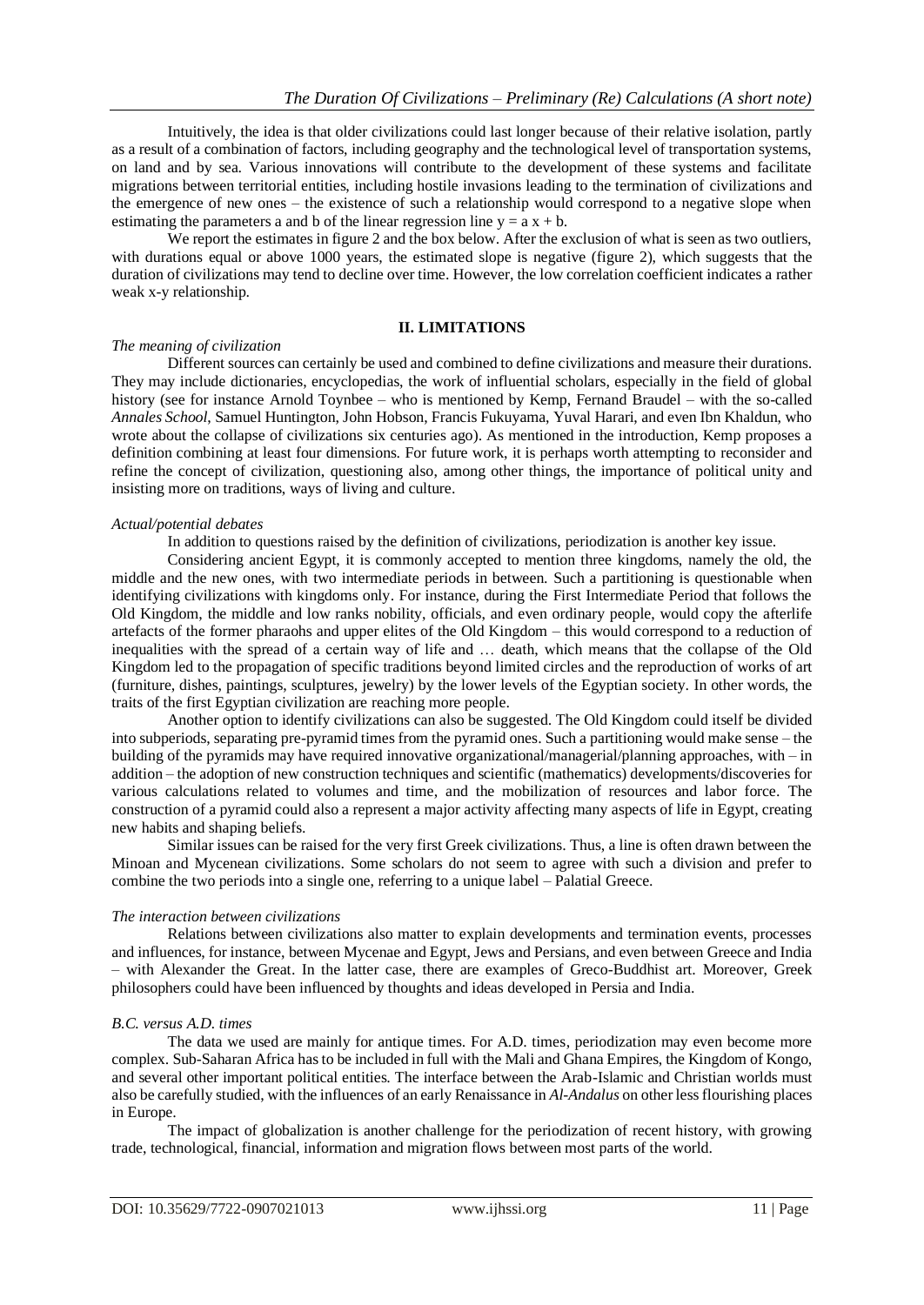Intuitively, the idea is that older civilizations could last longer because of their relative isolation, partly as a result of a combination of factors, including geography and the technological level of transportation systems, on land and by sea. Various innovations will contribute to the development of these systems and facilitate migrations between territorial entities, including hostile invasions leading to the termination of civilizations and the emergence of new ones – the existence of such a relationship would correspond to a negative slope when estimating the parameters a and b of the linear regression line  $y = a x + b$ .

We report the estimates in figure 2 and the box below. After the exclusion of what is seen as two outliers, with durations equal or above 1000 years, the estimated slope is negative (figure 2), which suggests that the duration of civilizations may tend to decline over time. However, the low correlation coefficient indicates a rather weak x-y relationship.

#### **II. LIMITATIONS**

#### *The meaning of civilization*

Different sources can certainly be used and combined to define civilizations and measure their durations. They may include dictionaries, encyclopedias, the work of influential scholars, especially in the field of global history (see for instance Arnold Toynbee – who is mentioned by Kemp, Fernand Braudel – with the so-called *Annales School*, Samuel Huntington, John Hobson, Francis Fukuyama, Yuval Harari, and even Ibn Khaldun, who wrote about the collapse of civilizations six centuries ago). As mentioned in the introduction, Kemp proposes a definition combining at least four dimensions. For future work, it is perhaps worth attempting to reconsider and refine the concept of civilization, questioning also, among other things, the importance of political unity and insisting more on traditions, ways of living and culture.

## *Actual/potential debates*

In addition to questions raised by the definition of civilizations, periodization is another key issue.

Considering ancient Egypt, it is commonly accepted to mention three kingdoms, namely the old, the middle and the new ones, with two intermediate periods in between. Such a partitioning is questionable when identifying civilizations with kingdoms only. For instance, during the First Intermediate Period that follows the Old Kingdom, the middle and low ranks nobility, officials, and even ordinary people, would copy the afterlife artefacts of the former pharaohs and upper elites of the Old Kingdom – this would correspond to a reduction of inequalities with the spread of a certain way of life and … death, which means that the collapse of the Old Kingdom led to the propagation of specific traditions beyond limited circles and the reproduction of works of art (furniture, dishes, paintings, sculptures, jewelry) by the lower levels of the Egyptian society. In other words, the traits of the first Egyptian civilization are reaching more people.

Another option to identify civilizations can also be suggested. The Old Kingdom could itself be divided into subperiods, separating pre-pyramid times from the pyramid ones. Such a partitioning would make sense – the building of the pyramids may have required innovative organizational/managerial/planning approaches, with – in addition – the adoption of new construction techniques and scientific (mathematics) developments/discoveries for various calculations related to volumes and time, and the mobilization of resources and labor force. The construction of a pyramid could also a represent a major activity affecting many aspects of life in Egypt, creating new habits and shaping beliefs.

Similar issues can be raised for the very first Greek civilizations. Thus, a line is often drawn between the Minoan and Mycenean civilizations. Some scholars do not seem to agree with such a division and prefer to combine the two periods into a single one, referring to a unique label – Palatial Greece.

# *The interaction between civilizations*

Relations between civilizations also matter to explain developments and termination events, processes and influences, for instance, between Mycenae and Egypt, Jews and Persians, and even between Greece and India – with Alexander the Great. In the latter case, there are examples of Greco-Buddhist art. Moreover, Greek philosophers could have been influenced by thoughts and ideas developed in Persia and India.

# *B.C. versus A.D. times*

The data we used are mainly for antique times. For A.D. times, periodization may even become more complex. Sub-Saharan Africa has to be included in full with the Mali and Ghana Empires, the Kingdom of Kongo, and several other important political entities. The interface between the Arab-Islamic and Christian worlds must also be carefully studied, with the influences of an early Renaissance in *Al-Andalus* on other less flourishing places in Europe.

The impact of globalization is another challenge for the periodization of recent history, with growing trade, technological, financial, information and migration flows between most parts of the world.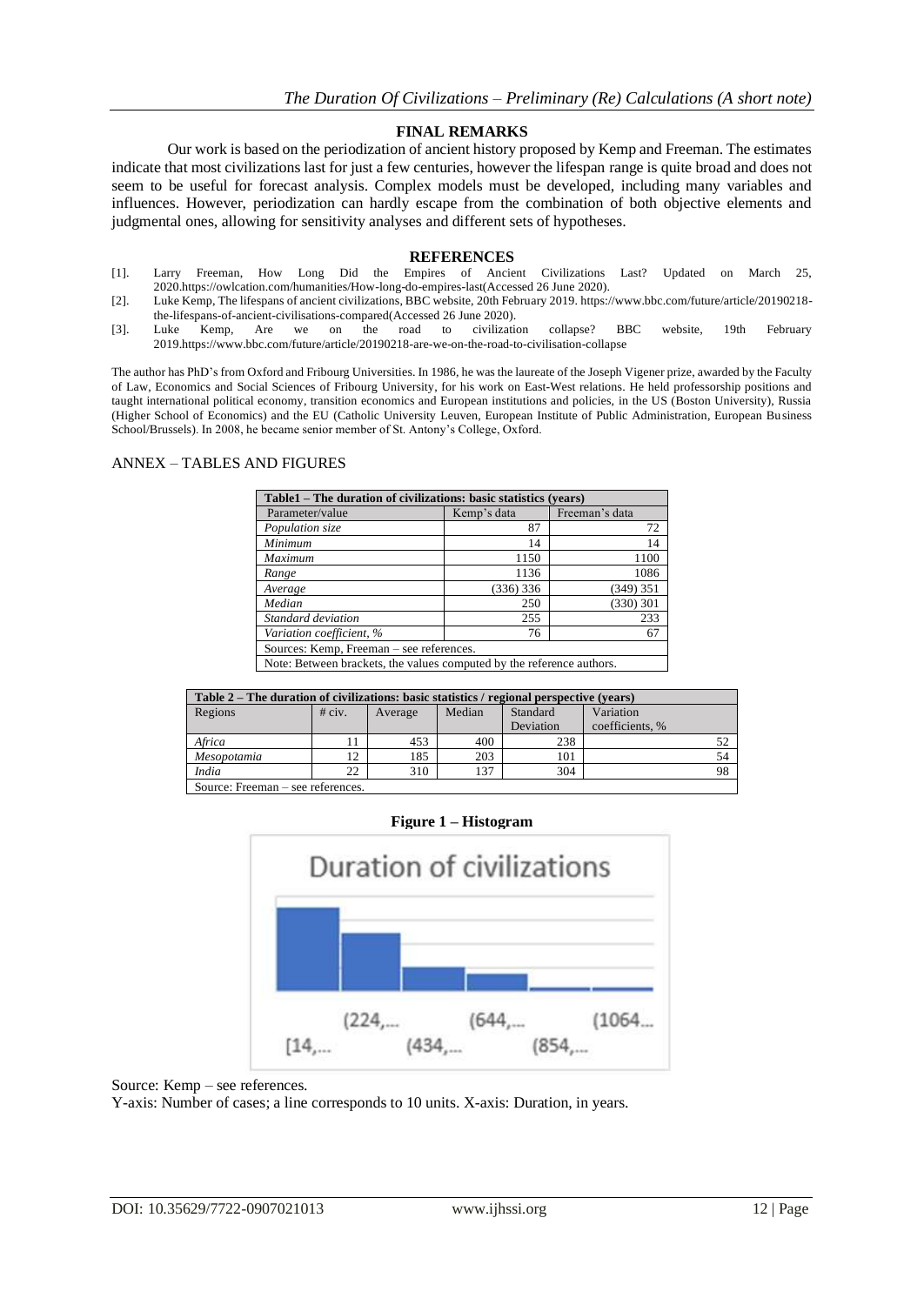## **FINAL REMARKS**

Our work is based on the periodization of ancient history proposed by Kemp and Freeman. The estimates indicate that most civilizations last for just a few centuries, however the lifespan range is quite broad and does not seem to be useful for forecast analysis. Complex models must be developed, including many variables and influences. However, periodization can hardly escape from the combination of both objective elements and judgmental ones, allowing for sensitivity analyses and different sets of hypotheses.

#### **REFERENCES**

- [1]. Larry Freeman, How Long Did the Empires of Ancient Civilizations Last? Updated on March 25, 202[0.https://owlcation.com/humanities/How-long-do-empires-last\(](https://owlcation.com/humanities/How-long-do-empires-last)Accessed 26 June 2020).
- [2]. Luke Kemp, The lifespans of ancient civilizations, BBC website, 20th February 2019[. https://www.bbc.com/future/article/20190218](https://www.bbc.com/future/article/20190218-the-lifespans-of-ancient-civilisations-compared) [the-lifespans-of-ancient-civilisations-compared\(](https://www.bbc.com/future/article/20190218-the-lifespans-of-ancient-civilisations-compared)Accessed 26 June 2020).<br>
Luke Kemp, Are we on the road to civilization
- [3]. Luke Kemp, Are we on the road to civilization collapse? BBC website, 19th February 201[9.https://www.bbc.com/future/article/20190218-are-we-on-the-road-to-civilisation-collapse](https://www.bbc.com/future/article/20190218-are-we-on-the-road-to-civilisation-collapse)

The author has PhD's from Oxford and Fribourg Universities. In 1986, he was the laureate of the Joseph Vigener prize, awarded by the Faculty of Law, Economics and Social Sciences of Fribourg University, for his work on East-West relations. He held professorship positions and taught international political economy, transition economics and European institutions and policies, in the US (Boston University), Russia (Higher School of Economics) and the EU (Catholic University Leuven, European Institute of Public Administration, European Business School/Brussels). In 2008, he became senior member of St. Antony's College, Oxford.

## ANNEX – TABLES AND FIGURES

| Table1 – The duration of civilizations: basic statistics (years) |             |                |  |  |  |  |
|------------------------------------------------------------------|-------------|----------------|--|--|--|--|
| Parameter/value                                                  | Kemp's data | Freeman's data |  |  |  |  |
| Population size                                                  | 87          | 72             |  |  |  |  |
| Minimum                                                          | 14          | 14             |  |  |  |  |
| Maximum                                                          | 1150        | 1100           |  |  |  |  |
| Range                                                            | 1136        | 1086           |  |  |  |  |
| Average                                                          | (336) 336   | (349) 351      |  |  |  |  |
| Median                                                           | 250         | (330) 301      |  |  |  |  |
| Standard deviation                                               | 255         | 233            |  |  |  |  |
| Variation coefficient, %                                         | 76          | 67             |  |  |  |  |
| Sources: Kemp, Freeman – see references.                         |             |                |  |  |  |  |

Note: Between brackets, the values computed by the reference authors.

| Table 2 – The duration of civilizations: basic statistics / regional perspective (vears) |          |         |        |           |                 |    |  |
|------------------------------------------------------------------------------------------|----------|---------|--------|-----------|-----------------|----|--|
| Regions                                                                                  | $#$ civ. | Average | Median | Standard  | Variation       |    |  |
|                                                                                          |          |         |        | Deviation | coefficients, % |    |  |
| Africa                                                                                   |          | 453     | 400    | 238       |                 | 52 |  |
| Mesopotamia                                                                              | 12       | 185     | 203    | 101       |                 | 54 |  |
| India                                                                                    | 22       | 310     | 137    | 304       |                 | 98 |  |
| Source: Freeman – see references.                                                        |          |         |        |           |                 |    |  |

# **Figure 1 – Histogram**



Source: Kemp – see references.

Y-axis: Number of cases; a line corresponds to 10 units. X-axis: Duration, in years.